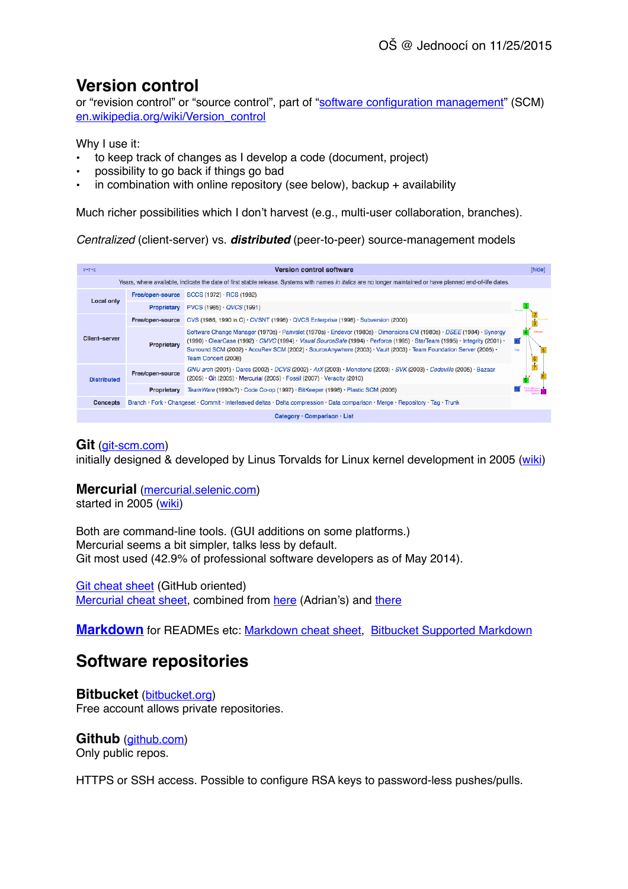# **Version control**

or "revision control" or "source control", part of ["software configuration management](http://en.wikipedia.org/wiki/Software_configuration_management)" (SCM) [en.wikipedia.org/wiki/Version\\_control](http://en.wikipedia.org/wiki/Version_control)

Why I use it:

- to keep track of changes as I develop a code (document, project)
- possibility to go back if things go bad
- in combination with online repository (see below), backup  $+$  availability

Much richer possibilities which I don't harvest (e.g., multi-user collaboration, branches).

*Centralized* (client-server) vs. *distributed* (peer-to-peer) source-management models

| $V^*T^*E$                                                                                                                                                    | <b>Version control software</b>                                                                                                  |                                                                                                                                                                                                                                                                                                                                                                                                 | [hide]                 |  |
|--------------------------------------------------------------------------------------------------------------------------------------------------------------|----------------------------------------------------------------------------------------------------------------------------------|-------------------------------------------------------------------------------------------------------------------------------------------------------------------------------------------------------------------------------------------------------------------------------------------------------------------------------------------------------------------------------------------------|------------------------|--|
| Years, where available, indicate the date of first stable release. Systems with names in italics are no longer maintained or have planned end-of-life dates. |                                                                                                                                  |                                                                                                                                                                                                                                                                                                                                                                                                 |                        |  |
| <b>Local only</b>                                                                                                                                            | Free/open-source                                                                                                                 | SCCS (1972) · RCS (1982)                                                                                                                                                                                                                                                                                                                                                                        |                        |  |
|                                                                                                                                                              | <b>Proprietary</b>                                                                                                               | $PVCS (1985) \cdot QVCS (1991)$                                                                                                                                                                                                                                                                                                                                                                 |                        |  |
| <b>Client-server</b>                                                                                                                                         | Free/open-source                                                                                                                 | CVS (1986, 1990 in C) · CVSNT (1998) · QVCS Enterprise (1998) · Subversion (2000)                                                                                                                                                                                                                                                                                                               |                        |  |
|                                                                                                                                                              | Proprietary                                                                                                                      | Software Change Manager (1970s) · Panvalet (1970s) · Endevor (1980s) · Dimensions CM (1980s) · DSEE (1984) · Synergy<br>(1990) · ClearCase (1992) · CMVC (1994) · Visual SourceSafe (1994) · Perforce (1995) · StarTeam (1995) · Integrity (2001) ·<br>Surround SCM (2002) · AccuRev SCM (2002) · SourceAnywhere (2003) · Vault (2003) · Team Foundation Server (2005) ·<br>Team Concert (2008) | Tors.<br>$\frac{6}{7}$ |  |
| <b>Distributed</b>                                                                                                                                           | Free/open-source                                                                                                                 | GNU arch (2001) · Darcs (2002) · DCVS (2002) · ArX (2003) · Monotone (2003) · SVK (2003) · Codeville (2005) · Bazaar<br>(2005) · Git (2005) · Mercurial (2005) · Fossil (2007) · Veracity (2010)                                                                                                                                                                                                |                        |  |
|                                                                                                                                                              | Proprietary                                                                                                                      | TeamWare (1990s?) · Code Co-op (1997) · BitKeeper (1998) · Plastic SCM (2006)                                                                                                                                                                                                                                                                                                                   |                        |  |
| <b>Concepts</b>                                                                                                                                              | Branch · Fork · Changeset · Commit · Interleaved deltas · Delta compression · Data comparison · Merge · Repository · Tag · Trunk |                                                                                                                                                                                                                                                                                                                                                                                                 |                        |  |
| Category · Comparison · List                                                                                                                                 |                                                                                                                                  |                                                                                                                                                                                                                                                                                                                                                                                                 |                        |  |

### **Git** ([git-scm.com](http://git-scm.com))

initially designed & developed by Linus Torvalds for Linux kernel development in 2005 ([wiki](http://en.wikipedia.org/wiki/Git_(software)))

### **Mercurial** ([mercurial.selenic.com\)](http://mercurial.selenic.com)

started in 2005 ([wiki\)](http://en.wikipedia.org/wiki/Mercurial)

Both are command-line tools. (GUI additions on some platforms.) Mercurial seems a bit simpler, talks less by default. Git most used (42.9% of professional software developers as of May 2014).

[Git cheat sheet](http://training.github.com/kit/downloads/github-git-cheat-sheet.pdf) (GitHub oriented) [Mercurial cheat sheet](http://www.dropbox.com/s/zlehgkksti4tir1/Mercurial-combined.pdf), combined from [here](http://www.mercurial-scm.org/wiki/QuickReferenceCardsAndCheatSheets) (Adrian's) and [there](http://www.cheatography.com/codeshane/cheat-sheets/mercurial-hg/)

**[Markdown](http://en.wikipedia.org/wiki/Markdown)** for READMEs etc: [Markdown cheat sheet](http://github.com/adam-p/markdown-here/wiki/Markdown-Cheatsheet), [Bitbucket Supported Markdown](http://bitbucket.org/tutorials/markdowndemo)

## **Software repositories**

**Bitbucket** ([bitbucket.org\)](http://bitbucket.org) Free account allows private repositories.

**Github** ([github.com](http://github.com)) Only public repos.

HTTPS or SSH access. Possible to configure RSA keys to password-less pushes/pulls.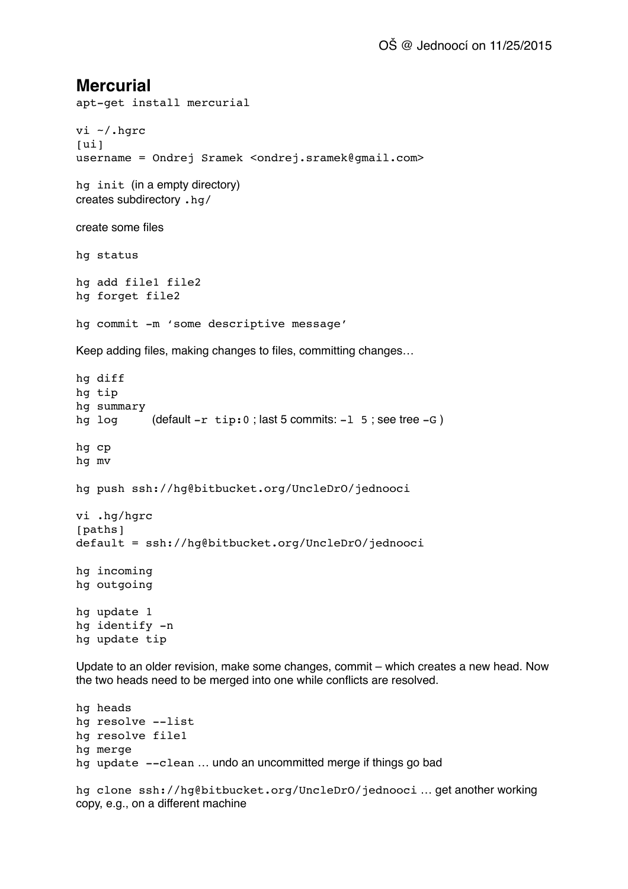## **Mercurial**

```
apt-get install mercurial
vi ~/.hgrc
[u_1]username = Ondrej Sramek <ondrej.sramek@gmail.com>
hg init (in a empty directory)
creates subdirectory .hg/
create some files
hg status
hg add file1 file2
hg forget file2
hg commit -m 'some descriptive message'
Keep adding files, making changes to files, committing changes…
hg diff
hg tip
hg summary
hg log \left( (default -r tip:0; last 5 commits: -1 5; see tree -G)
hg cp
hg mv
hg push ssh://hg@bitbucket.org/UncleDrO/jednooci
vi .hg/hgrc
[paths]
default = ssh://hg@bitbucket.org/UncleDrO/jednooci
hg incoming
hg outgoing
hg update 1
hg identify -n
hg update tip
Update to an older revision, make some changes, commit – which creates a new head. Now 
the two heads need to be merged into one while conflicts are resolved.
hg heads
hg resolve --list
hg resolve file1
```

```
hg merge
```

```
hg update --clean ... undo an uncommitted merge if things go bad
```
hg clone ssh://hg@bitbucket.org/UncleDrO/jednooci … get another working copy, e.g., on a different machine